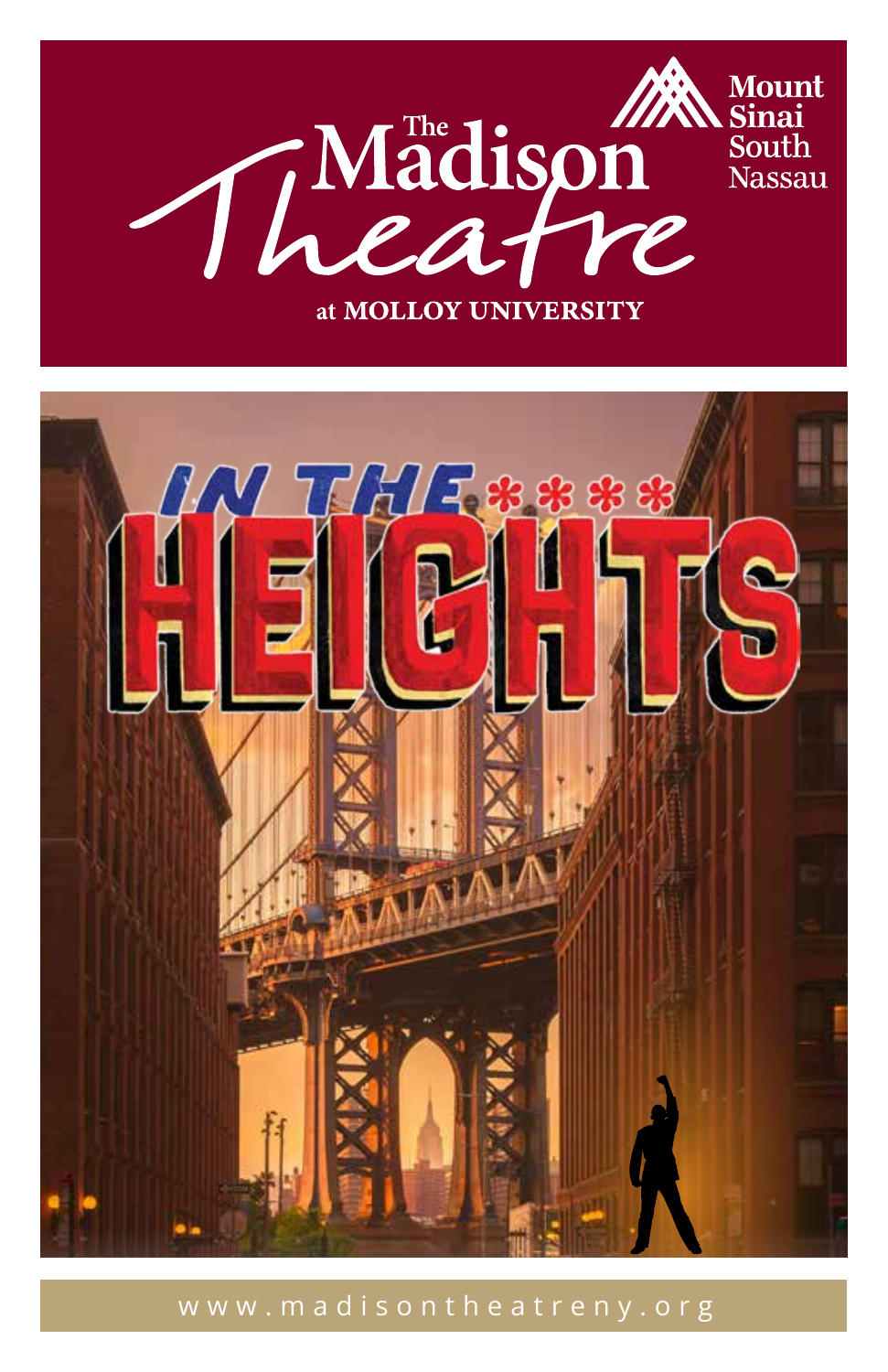



#### www.madisontheatreny.org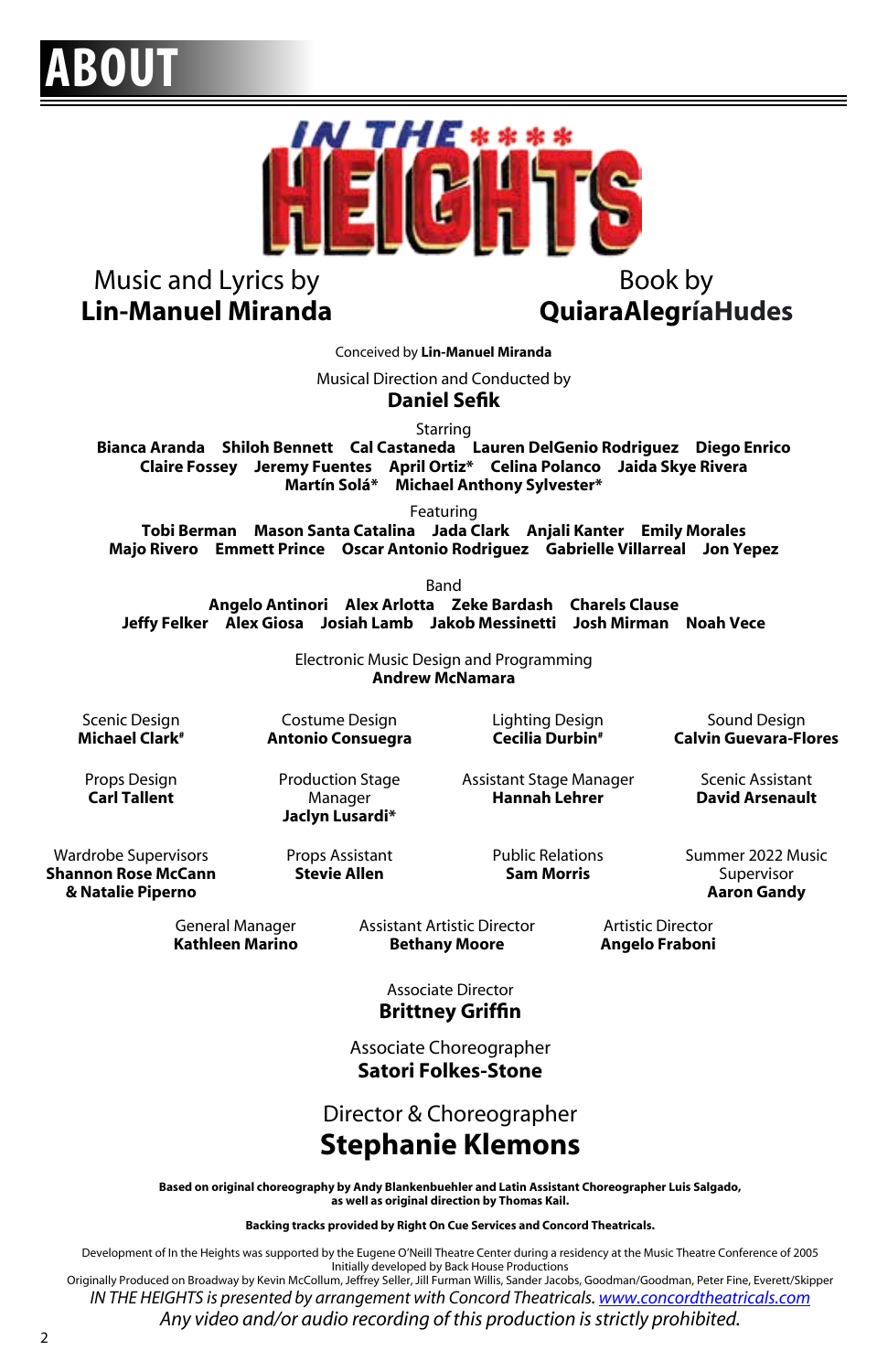## **ABOUT**



#### Music and Lyrics by **Lin-Manuel Miranda**

#### Book by **QuiaraAlegríaHudes**

Conceived by **Lin-Manuel Miranda**

Musical Direction and Conducted by

**Daniel Sefik**

Starring

**Bianca Aranda Shiloh Bennett Cal Castaneda Lauren DelGenio Rodriguez Diego Enrico Claire Fossey Jeremy Fuentes April Ortiz\* Celina Polanco Jaida Skye Rivera Martín Solá\* Michael Anthony Sylvester\***

Featuring

**Tobi Berman Mason Santa Catalina Jada Clark Anjali Kanter Emily Morales Majo Rivero Emmett Prince Oscar Antonio Rodriguez Gabrielle Villarreal Jon Yepez**

Band

**Angelo Antinori Alex Arlotta Zeke Bardash Charels Clause Jeffy Felker Alex Giosa Josiah Lamb Jakob Messinetti Josh Mirman Noah Vece**

> Electronic Music Design and Programming **Andrew McNamara**

Scenic Design **Michael Clark#**

Costume Design **Antonio Consuegra**  Lighting Design **Cecilia Durbin#**

Sound Design **Calvin Guevara-Flores** Scenic Assistant

**David Arsenault**

Props Design **Carl Tallent**

Wardrobe Supervisors **Shannon Rose McCann & Natalie Piperno**

Production Stage Manager **Jaclyn Lusardi\***

Props Assistant **Stevie Allen**

Assistant Stage Manager **Hannah Lehrer**

> Public Relations **Sam Morris**

Summer 2022 Music Supervisor **Aaron Gandy**

General Manager **Kathleen Marino** Assistant Artistic Director **Bethany Moore**

Artistic Director **Angelo Fraboni**

Associate Director **Brittney Griffin**

Associate Choreographer **Satori Folkes-Stone**

Director & Choreographer **Stephanie Klemons**

**Based on original choreography by Andy Blankenbuehler and Latin Assistant Choreographer Luis Salgado, as well as original direction by Thomas Kail.**

**Backing tracks provided by Right On Cue Services and Concord Theatricals.** 

Development of In the Heights was supported by the Eugene O'Neill Theatre Center during a residency at the Music Theatre Conference of 2005 Initially developed by Back House Productions

Originally Produced on Broadway by Kevin McCollum, Jeffrey Seller, Jill Furman Willis, Sander Jacobs, Goodman/Goodman, Peter Fine, Everett/Skipper *IN THE HEIGHTS is presented by arrangement with Concord Theatricals. www.concordtheatricals.com*

*Any video and/or audio recording of this production is strictly prohibited.*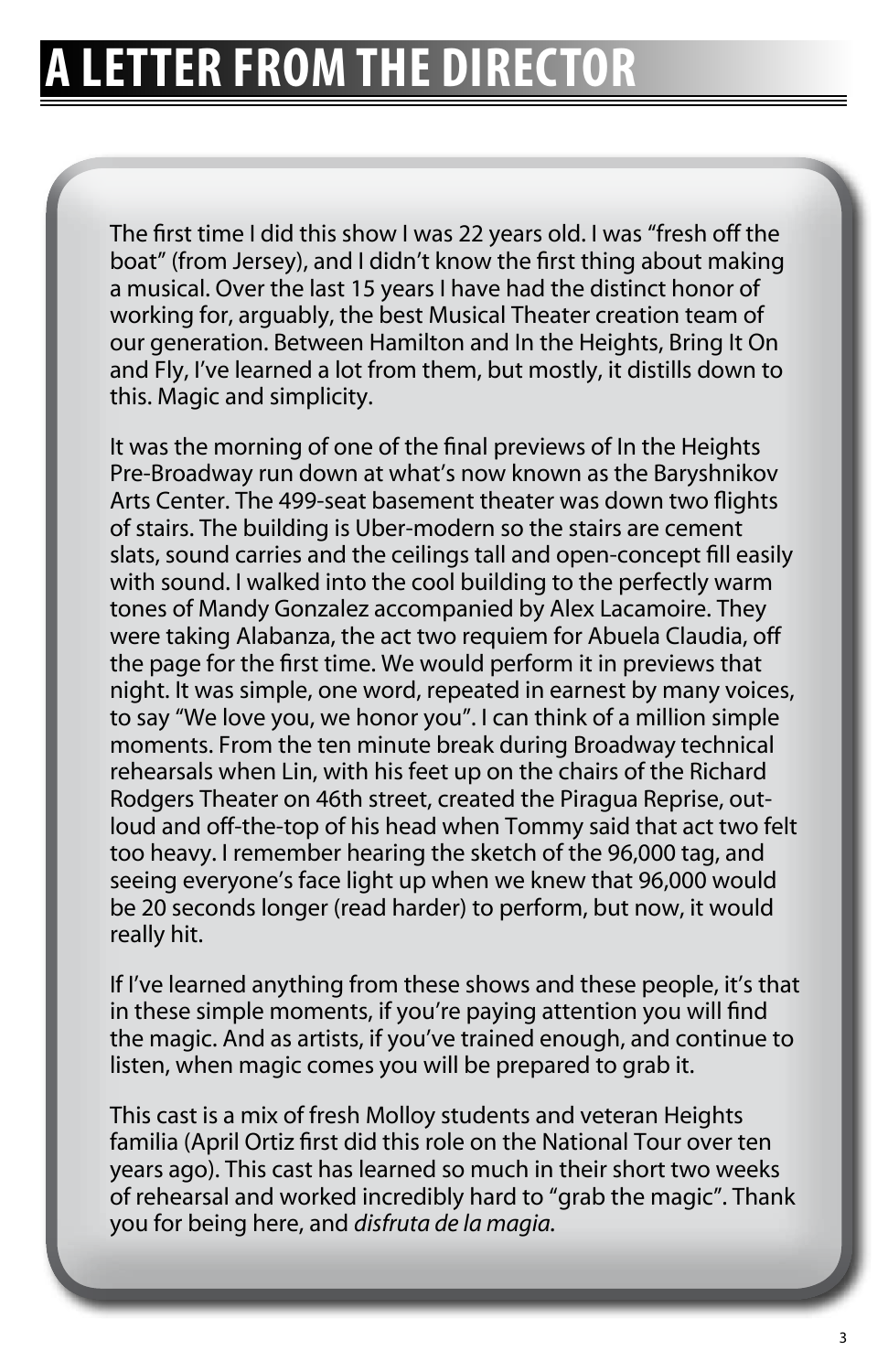The first time I did this show I was 22 years old. I was "fresh off the boat" (from Jersey), and I didn't know the first thing about making a musical. Over the last 15 years I have had the distinct honor of working for, arguably, the best Musical Theater creation team of our generation. Between Hamilton and In the Heights, Bring It On and Fly, I've learned a lot from them, but mostly, it distills down to this. Magic and simplicity.

It was the morning of one of the final previews of In the Heights Pre-Broadway run down at what's now known as the Baryshnikov Arts Center. The 499-seat basement theater was down two flights of stairs. The building is Uber-modern so the stairs are cement slats, sound carries and the ceilings tall and open-concept fill easily with sound. I walked into the cool building to the perfectly warm tones of Mandy Gonzalez accompanied by Alex Lacamoire. They were taking Alabanza, the act two requiem for Abuela Claudia, off the page for the first time. We would perform it in previews that night. It was simple, one word, repeated in earnest by many voices, to say "We love you, we honor you". I can think of a million simple moments. From the ten minute break during Broadway technical rehearsals when Lin, with his feet up on the chairs of the Richard Rodgers Theater on 46th street, created the Piragua Reprise, outloud and off-the-top of his head when Tommy said that act two felt too heavy. I remember hearing the sketch of the 96,000 tag, and seeing everyone's face light up when we knew that 96,000 would be 20 seconds longer (read harder) to perform, but now, it would really hit.

If I've learned anything from these shows and these people, it's that in these simple moments, if you're paying attention you will find the magic. And as artists, if you've trained enough, and continue to listen, when magic comes you will be prepared to grab it.

This cast is a mix of fresh Molloy students and veteran Heights familia (April Ortiz first did this role on the National Tour over ten years ago). This cast has learned so much in their short two weeks of rehearsal and worked incredibly hard to "grab the magic". Thank you for being here, and *disfruta de la magia.*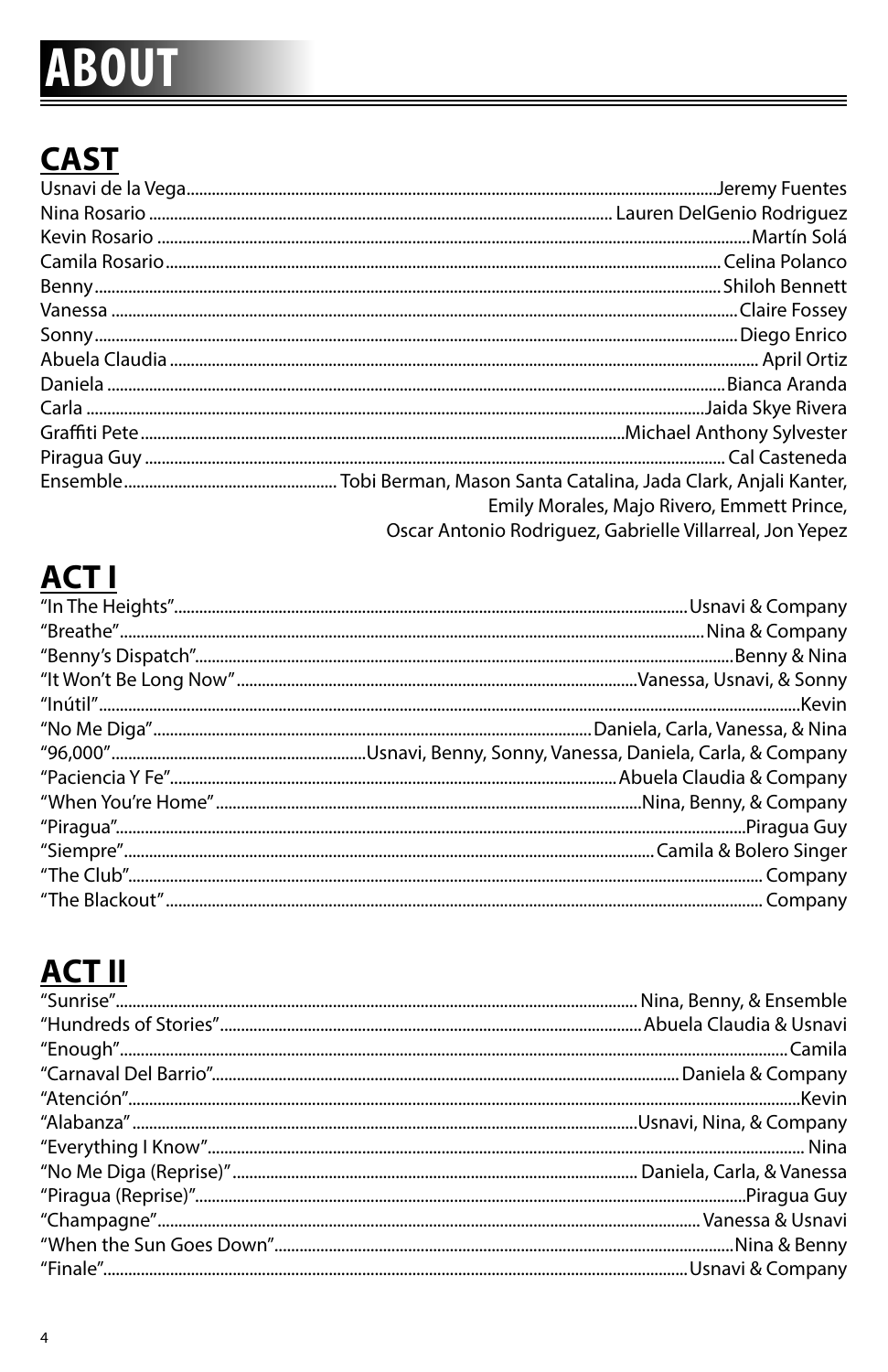# **ABOUT**

#### **CAST**

| Emily Morales, Majo Rivero, Emmett Prince,               |
|----------------------------------------------------------|
| Oscar Antonio Rodriguez, Gabrielle Villarreal, Jon Yepez |

#### **ACT I**

#### **ACT II**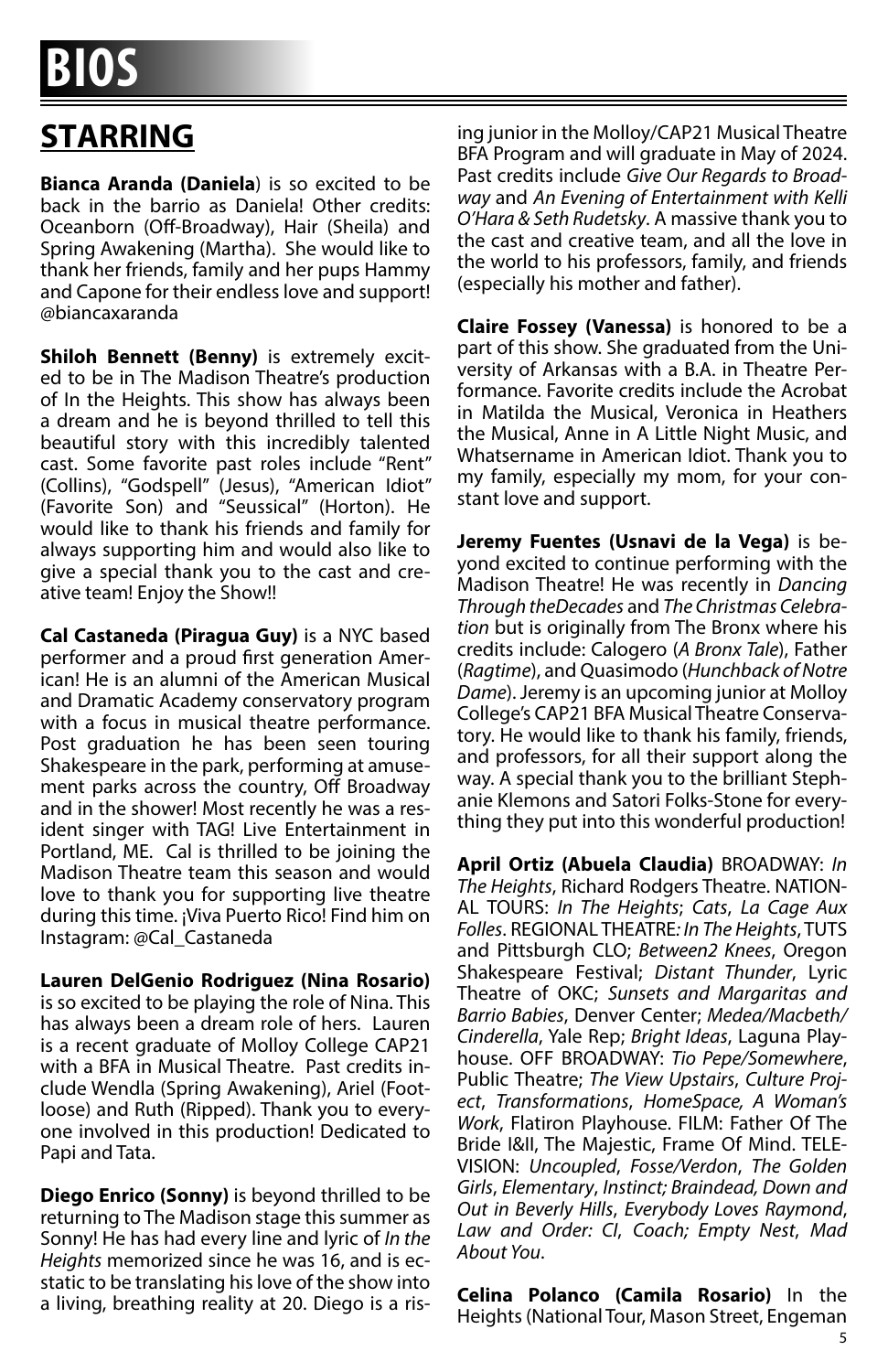#### **STARRING**

**Bianca Aranda (Daniela**) is so excited to be back in the barrio as Daniela! Other credits: Oceanborn (Off-Broadway), Hair (Sheila) and Spring Awakening (Martha). She would like to thank her friends, family and her pups Hammy and Capone for their endless love and support! @biancaxaranda

**Shiloh Bennett (Benny)** is extremely excited to be in The Madison Theatre's production of In the Heights. This show has always been a dream and he is beyond thrilled to tell this beautiful story with this incredibly talented cast. Some favorite past roles include "Rent" (Collins), "Godspell" (Jesus), "American Idiot" (Favorite Son) and "Seussical" (Horton). He would like to thank his friends and family for always supporting him and would also like to give a special thank you to the cast and creative team! Enjoy the Show!!

**Cal Castaneda (Piragua Guy)** is a NYC based performer and a proud first generation American! He is an alumni of the American Musical and Dramatic Academy conservatory program with a focus in musical theatre performance. Post graduation he has been seen touring Shakespeare in the park, performing at amusement parks across the country, Off Broadway and in the shower! Most recently he was a resident singer with TAG! Live Entertainment in Portland, ME. Cal is thrilled to be joining the Madison Theatre team this season and would love to thank you for supporting live theatre during this time. ¡Viva Puerto Rico! Find him on Instagram: @Cal\_Castaneda

**Lauren DelGenio Rodriguez (Nina Rosario)**  is so excited to be playing the role of Nina. This has always been a dream role of hers. Lauren is a recent graduate of Molloy College CAP21 with a BFA in Musical Theatre. Past credits include Wendla (Spring Awakening), Ariel (Footloose) and Ruth (Ripped). Thank you to everyone involved in this production! Dedicated to Papi and Tata.

**Diego Enrico (Sonny)** is beyond thrilled to be returning to The Madison stage this summer as Sonny! He has had every line and lyric of *In the Heights* memorized since he was 16, and is ecstatic to be translating his love of the show into a living, breathing reality at 20. Diego is a rising junior in the Molloy/CAP21 Musical Theatre BFA Program and will graduate in May of 2024. Past credits include *Give Our Regards to Broadway* and *An Evening of Entertainment with Kelli O'Hara & Seth Rudetsky*. A massive thank you to the cast and creative team, and all the love in the world to his professors, family, and friends (especially his mother and father).

**Claire Fossey (Vanessa)** is honored to be a part of this show. She graduated from the University of Arkansas with a B.A. in Theatre Performance. Favorite credits include the Acrobat in Matilda the Musical, Veronica in Heathers the Musical, Anne in A Little Night Music, and Whatsername in American Idiot. Thank you to my family, especially my mom, for your constant love and support.

**Jeremy Fuentes (Usnavi de la Vega)** is beyond excited to continue performing with the Madison Theatre! He was recently in *Dancing Through theDecades* and *The Christmas Celebration* but is originally from The Bronx where his credits include: Calogero (*A Bronx Tale*), Father (*Ragtime*), and Quasimodo (*Hunchback of Notre Dame*). Jeremy is an upcoming junior at Molloy College's CAP21 BFA Musical Theatre Conservatory. He would like to thank his family, friends, and professors, for all their support along the way. A special thank you to the brilliant Stephanie Klemons and Satori Folks-Stone for everything they put into this wonderful production!

**April Ortiz (Abuela Claudia)** BROADWAY: *In The Heights*, Richard Rodgers Theatre. NATION-AL TOURS: *In The Heights*; *Cats*, *La Cage Aux Folles*. REGIONAL THEATRE*: In The Heights*, TUTS and Pittsburgh CLO; *Between2 Knees*, Oregon Shakespeare Festival; *Distant Thunder*, Lyric Theatre of OKC; *Sunsets and Margaritas and Barrio Babies*, Denver Center; *Medea/Macbeth/ Cinderella*, Yale Rep; *Bright Ideas*, Laguna Playhouse. OFF BROADWAY: *Tio Pepe/Somewhere*, Public Theatre; *The View Upstairs*, *Culture Project*, *Transformations*, *HomeSpace, A Woman's Work*, Flatiron Playhouse. FILM: Father Of The Bride I&II, The Majestic, Frame Of Mind. TELE-VISION: *Uncoupled*, *Fosse/Verdon*, *The Golden Girls*, *Elementary*, *Instinct; Braindead, Down and Out in Beverly Hills*, *Everybody Loves Raymond*, *Law and Order: CI*, *Coach; Empty Nest*, *Mad About You*.

**Celina Polanco (Camila Rosario)** In the Heights (National Tour, Mason Street, Engeman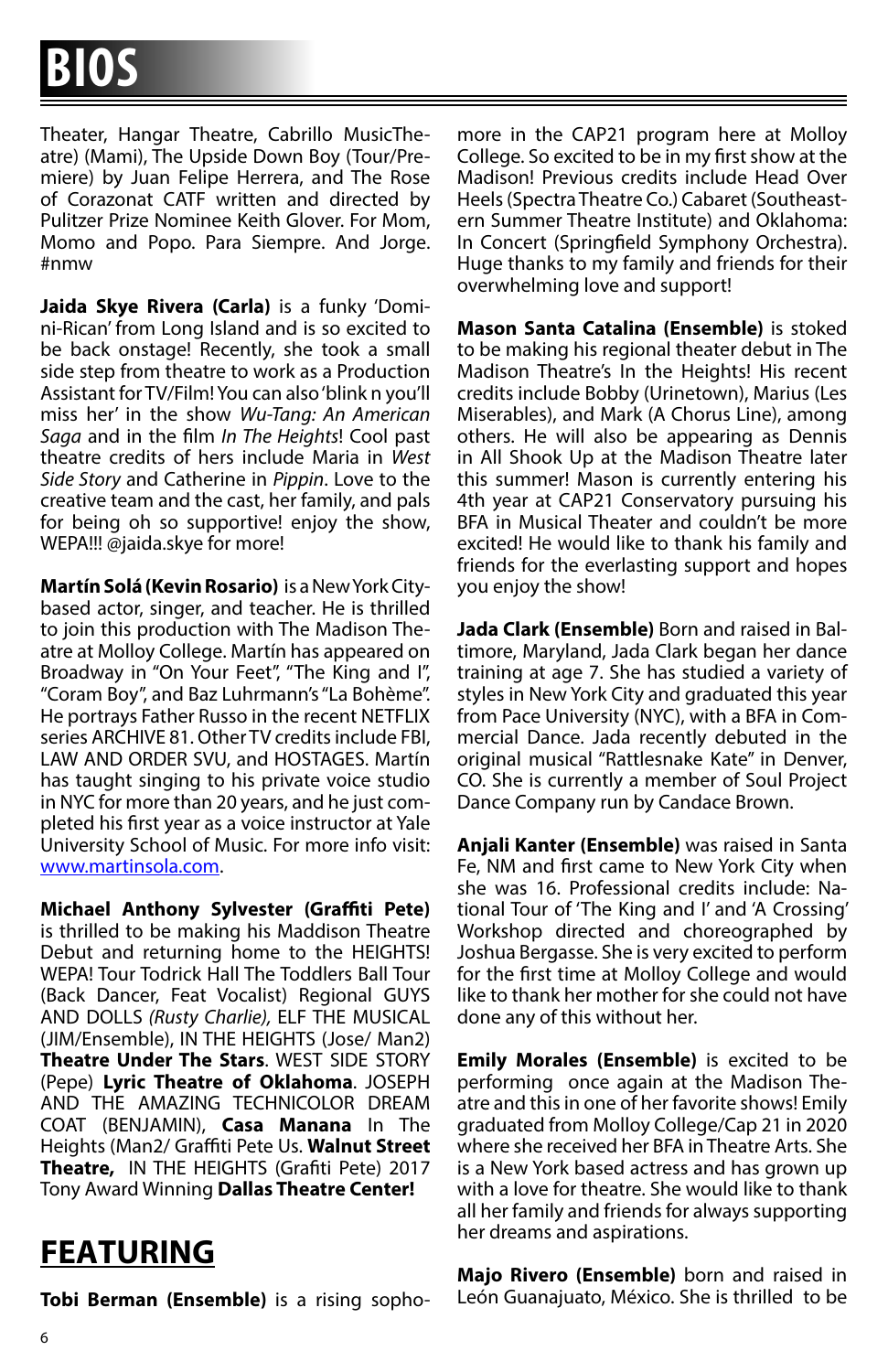Theater, Hangar Theatre, Cabrillo MusicTheatre) (Mami), The Upside Down Boy (Tour/Premiere) by Juan Felipe Herrera, and The Rose of Corazonat CATF written and directed by Pulitzer Prize Nominee Keith Glover. For Mom, Momo and Popo. Para Siempre. And Jorge. #nmw

**Jaida Skye Rivera (Carla)** is a funky 'Domini-Rican' from Long Island and is so excited to be back onstage! Recently, she took a small side step from theatre to work as a Production Assistant for TV/Film! You can also 'blink n you'll miss her' in the show *Wu-Tang: An American Saga* and in the film *In The Heights*! Cool past theatre credits of hers include Maria in *West Side Story* and Catherine in *Pippin*. Love to the creative team and the cast, her family, and pals for being oh so supportive! enjoy the show, WEPA!!! @jaida.skye for more!

**Martín Solá (Kevin Rosario)** is a New York Citybased actor, singer, and teacher. He is thrilled to join this production with The Madison Theatre at Molloy College. Martín has appeared on Broadway in "On Your Feet", "The King and I", "Coram Boy", and Baz Luhrmann's "La Bohème". He portrays Father Russo in the recent NETFLIX series ARCHIVE 81. Other TV credits include FBI, LAW AND ORDER SVU, and HOSTAGES. Martín has taught singing to his private voice studio in NYC for more than 20 years, and he just completed his first year as a voice instructor at Yale University School of Music. For more info visit: www.martinsola.com.

**Michael Anthony Sylvester (Graffiti Pete)** is thrilled to be making his Maddison Theatre Debut and returning home to the HEIGHTS! WEPA! Tour Todrick Hall The Toddlers Ball Tour (Back Dancer, Feat Vocalist) Regional GUYS AND DOLLS *(Rusty Charlie),* ELF THE MUSICAL (JIM/Ensemble), IN THE HEIGHTS (Jose/ Man2) **Theatre Under The Stars**. WEST SIDE STORY (Pepe) **Lyric Theatre of Oklahoma**. JOSEPH AND THE AMAZING TECHNICOLOR DREAM COAT (BENJAMIN), **Casa Manana** In The Heights (Man2/ Graffiti Pete Us. **Walnut Street Theatre,** IN THE HEIGHTS (Grafiti Pete) 2017 Tony Award Winning **Dallas Theatre Center!**

**FEATURING**

**Tobi Berman (Ensemble)** is a rising sopho-

more in the CAP21 program here at Molloy College. So excited to be in my first show at the Madison! Previous credits include Head Over Heels (Spectra Theatre Co.) Cabaret (Southeastern Summer Theatre Institute) and Oklahoma: In Concert (Springfield Symphony Orchestra). Huge thanks to my family and friends for their overwhelming love and support!

**Mason Santa Catalina (Ensemble)** is stoked to be making his regional theater debut in The Madison Theatre's In the Heights! His recent credits include Bobby (Urinetown), Marius (Les Miserables), and Mark (A Chorus Line), among others. He will also be appearing as Dennis in All Shook Up at the Madison Theatre later this summer! Mason is currently entering his 4th year at CAP21 Conservatory pursuing his BFA in Musical Theater and couldn't be more excited! He would like to thank his family and friends for the everlasting support and hopes you enjoy the show!

**Jada Clark (Ensemble)** Born and raised in Baltimore, Maryland, Jada Clark began her dance training at age 7. She has studied a variety of styles in New York City and graduated this year from Pace University (NYC), with a BFA in Commercial Dance. Jada recently debuted in the original musical "Rattlesnake Kate" in Denver, CO. She is currently a member of Soul Project Dance Company run by Candace Brown.

**Anjali Kanter (Ensemble)** was raised in Santa Fe, NM and first came to New York City when she was 16. Professional credits include: National Tour of 'The King and I' and 'A Crossing' Workshop directed and choreographed by Joshua Bergasse. She is very excited to perform for the first time at Molloy College and would like to thank her mother for she could not have done any of this without her.

**Emily Morales (Ensemble)** is excited to be performing once again at the Madison Theatre and this in one of her favorite shows! Emily graduated from Molloy College/Cap 21 in 2020 where she received her BFA in Theatre Arts. She is a New York based actress and has grown up with a love for theatre. She would like to thank all her family and friends for always supporting her dreams and aspirations.

**Majo Rivero (Ensemble)** born and raised in León Guanajuato, México. She is thrilled to be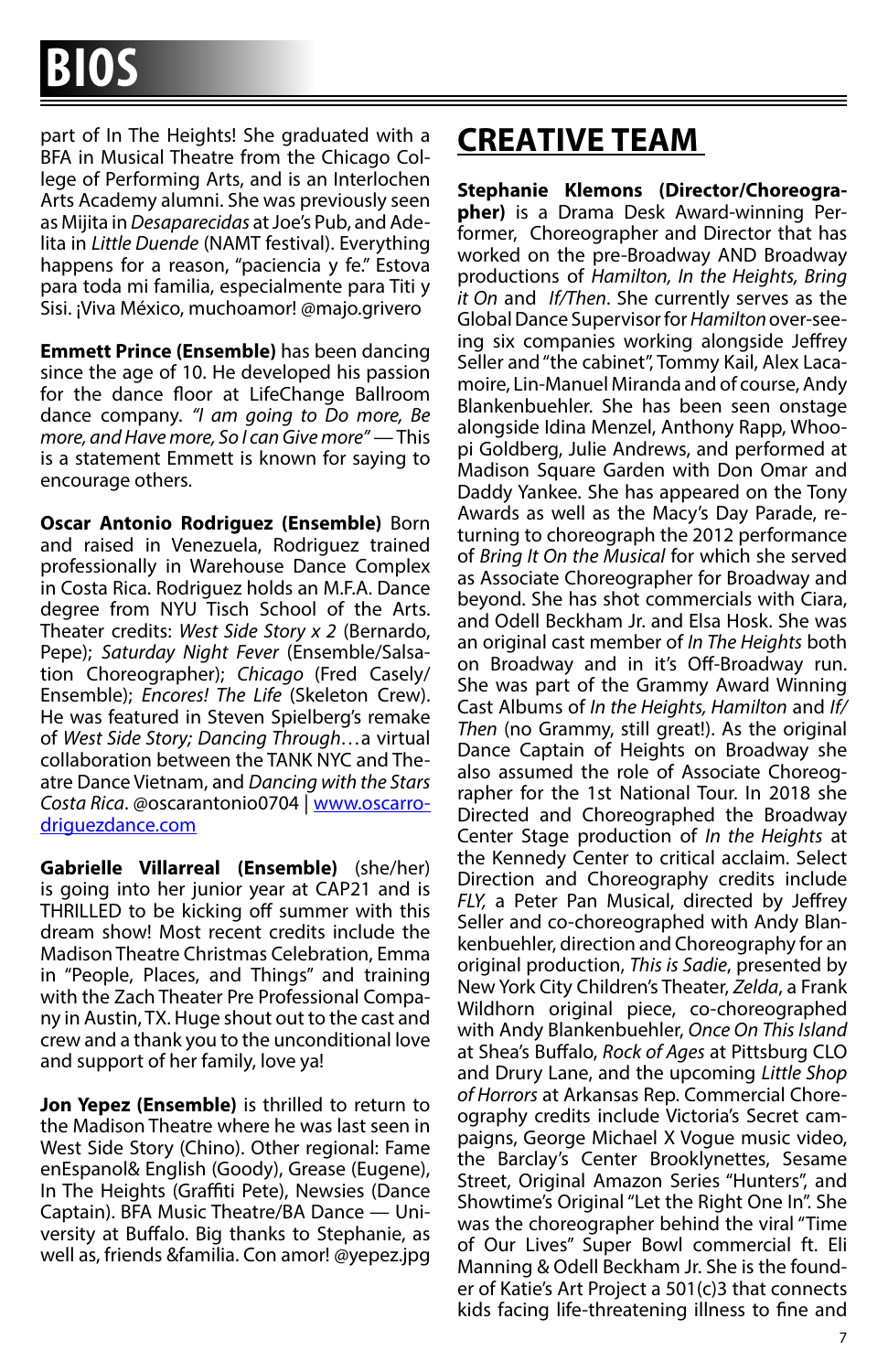part of In The Heights! She graduated with a BFA in Musical Theatre from the Chicago College of Performing Arts, and is an Interlochen Arts Academy alumni. She was previously seen as Mijita in *Desaparecidas* at Joe's Pub, and Adelita in *Little Duende* (NAMT festival). Everything happens for a reason, "paciencia y fe." Estova para toda mi familia, especialmente para Titi y Sisi. ¡Viva México, muchoamor! @majo.grivero

**Emmett Prince (Ensemble)** has been dancing since the age of 10. He developed his passion for the dance floor at LifeChange Ballroom dance company. *"I am going to Do more, Be more, and Have more, So I can Give more"* — This is a statement Emmett is known for saying to encourage others.

**Oscar Antonio Rodriguez (Ensemble)** Born and raised in Venezuela, Rodriguez trained professionally in Warehouse Dance Complex in Costa Rica. Rodriguez holds an M.F.A. Dance degree from NYU Tisch School of the Arts. Theater credits: *West Side Story x 2* (Bernardo, Pepe); *Saturday Night Fever* (Ensemble/Salsation Choreographer); *Chicago* (Fred Casely/ Ensemble); *Encores! The Life* (Skeleton Crew). He was featured in Steven Spielberg's remake of *West Side Story; Dancing Through…*a virtual collaboration between the TANK NYC and Theatre Dance Vietnam, and *Dancing with the Stars Costa Rica*. @oscarantonio0704 | www.oscarrodriguezdance.com

**Gabrielle Villarreal (Ensemble)** (she/her) is going into her junior year at CAP21 and is THRILLED to be kicking off summer with this dream show! Most recent credits include the Madison Theatre Christmas Celebration, Emma in "People, Places, and Things" and training with the Zach Theater Pre Professional Company in Austin, TX. Huge shout out to the cast and crew and a thank you to the unconditional love and support of her family, love ya!

**Jon Yepez (Ensemble)** is thrilled to return to the Madison Theatre where he was last seen in West Side Story (Chino). Other regional: Fame enEspanol& English (Goody), Grease (Eugene), In The Heights (Graffiti Pete), Newsies (Dance Captain). BFA Music Theatre/BA Dance — University at Buffalo. Big thanks to Stephanie, as well as, friends &familia. Con amor! @yepez.jpg

#### **CREATIVE TEAM**

**Stephanie Klemons (Director/Choreographer)** is a Drama Desk Award-winning Performer, Choreographer and Director that has worked on the pre-Broadway AND Broadway productions of *Hamilton, In the Heights, Bring it On* and *If/Then*. She currently serves as the Global Dance Supervisor for *Hamilton* over-seeing six companies working alongside Jeffrey Seller and "the cabinet", Tommy Kail, Alex Lacamoire, Lin-Manuel Miranda and of course, Andy Blankenbuehler. She has been seen onstage alongside Idina Menzel, Anthony Rapp, Whoopi Goldberg, Julie Andrews, and performed at Madison Square Garden with Don Omar and Daddy Yankee. She has appeared on the Tony Awards as well as the Macy's Day Parade, returning to choreograph the 2012 performance of *Bring It On the Musical* for which she served as Associate Choreographer for Broadway and beyond. She has shot commercials with Ciara, and Odell Beckham Jr. and Elsa Hosk. She was an original cast member of *In The Heights* both on Broadway and in it's Off-Broadway run. She was part of the Grammy Award Winning Cast Albums of *In the Heights, Hamilton* and *If/ Then* (no Grammy, still great!). As the original Dance Captain of Heights on Broadway she also assumed the role of Associate Choreographer for the 1st National Tour. In 2018 she Directed and Choreographed the Broadway Center Stage production of *In the Heights* at the Kennedy Center to critical acclaim. Select Direction and Choreography credits include *FLY,* a Peter Pan Musical, directed by Jeffrey Seller and co-choreographed with Andy Blankenbuehler, direction and Choreography for an original production, *This is Sadie*, presented by New York City Children's Theater, *Zelda*, a Frank Wildhorn original piece, co-choreographed with Andy Blankenbuehler, *Once On This Island* at Shea's Buffalo, *Rock of Ages* at Pittsburg CLO and Drury Lane, and the upcoming *Little Shop of Horrors* at Arkansas Rep. Commercial Choreography credits include Victoria's Secret campaigns, George Michael X Vogue music video, the Barclay's Center Brooklynettes, Sesame Street, Original Amazon Series "Hunters", and Showtime's Original "Let the Right One In". She was the choreographer behind the viral "Time of Our Lives" Super Bowl commercial ft. Eli Manning & Odell Beckham Jr. She is the founder of Katie's Art Project a 501(c)3 that connects kids facing life-threatening illness to fine and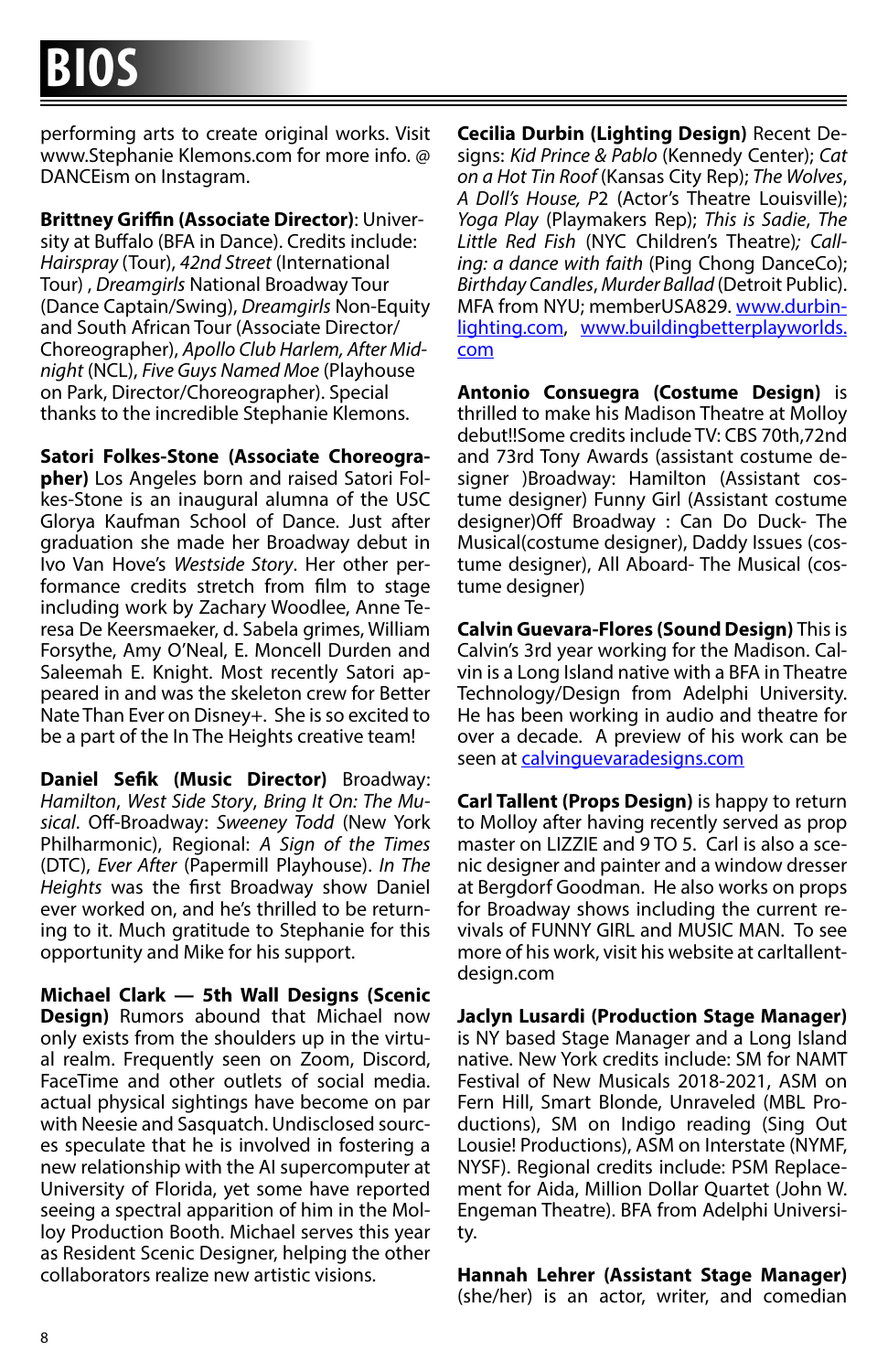performing arts to create original works. Visit www.Stephanie Klemons.com for more info. @ DANCEism on Instagram.

**Brittney Griffin (Associate Director)**: University at Buffalo (BFA in Dance). Credits include: *Hairspray* (Tour), *42nd Street* (International Tour) , *Dreamgirls* National Broadway Tour (Dance Captain/Swing), *Dreamgirls* Non-Equity and South African Tour (Associate Director/ Choreographer), *Apollo Club Harlem, After Midnight* (NCL), *Five Guys Named Moe* (Playhouse on Park, Director/Choreographer). Special thanks to the incredible Stephanie Klemons.

**Satori Folkes-Stone (Associate Choreogra-**

**pher)** Los Angeles born and raised Satori Folkes-Stone is an inaugural alumna of the USC Glorya Kaufman School of Dance. Just after graduation she made her Broadway debut in Ivo Van Hove's *Westside Story*. Her other performance credits stretch from film to stage including work by Zachary Woodlee, Anne Teresa De Keersmaeker, d. Sabela grimes, William Forsythe, Amy O'Neal, E. Moncell Durden and Saleemah E. Knight. Most recently Satori appeared in and was the skeleton crew for Better Nate Than Ever on Disney+. She is so excited to be a part of the In The Heights creative team!

**Daniel Sefik (Music Director)** Broadway: *Hamilton*, *West Side Story*, *Bring It On: The Musical*. Off-Broadway: *Sweeney Todd* (New York Philharmonic), Regional: *A Sign of the Times* (DTC), *Ever After* (Papermill Playhouse). *In The Heights* was the first Broadway show Daniel ever worked on, and he's thrilled to be returning to it. Much gratitude to Stephanie for this opportunity and Mike for his support.

**Michael Clark — 5th Wall Designs (Scenic Design)** Rumors abound that Michael now only exists from the shoulders up in the virtual realm. Frequently seen on Zoom, Discord, FaceTime and other outlets of social media. actual physical sightings have become on par with Neesie and Sasquatch. Undisclosed sources speculate that he is involved in fostering a new relationship with the AI supercomputer at University of Florida, yet some have reported seeing a spectral apparition of him in the Molloy Production Booth. Michael serves this year as Resident Scenic Designer, helping the other collaborators realize new artistic visions.

**Cecilia Durbin (Lighting Design)** Recent Designs: *Kid Prince & Pablo* (Kennedy Center); *Cat on a Hot Tin Roof* (Kansas City Rep); *The Wolves*, *A Doll's House, P*2 (Actor's Theatre Louisville); *Yoga Play* (Playmakers Rep); *This is Sadie*, *The Little Red Fish* (NYC Children's Theatre)*; Calling: a dance with faith* (Ping Chong DanceCo); *Birthday Candles*, *Murder Ballad* (Detroit Public). MFA from NYU; memberUSA829. www.durbinlighting.com, www.buildingbetterplayworlds. com

**Antonio Consuegra (Costume Design)** is thrilled to make his Madison Theatre at Molloy debut!!Some credits include TV: CBS 70th,72nd and 73rd Tony Awards (assistant costume designer )Broadway: Hamilton (Assistant costume designer) Funny Girl (Assistant costume designer)Off Broadway : Can Do Duck- The Musical(costume designer), Daddy Issues (costume designer), All Aboard- The Musical (costume designer)

**Calvin Guevara-Flores (Sound Design)** This is Calvin's 3rd year working for the Madison. Calvin is a Long Island native with a BFA in Theatre Technology/Design from Adelphi University. He has been working in audio and theatre for over a decade. A preview of his work can be seen at calvinguevaradesigns.com

**Carl Tallent (Props Design)** is happy to return to Molloy after having recently served as prop master on LIZZIE and 9 TO 5. Carl is also a scenic designer and painter and a window dresser at Bergdorf Goodman. He also works on props for Broadway shows including the current revivals of FUNNY GIRL and MUSIC MAN. To see more of his work, visit his website at carltallentdesign.com

**Jaclyn Lusardi (Production Stage Manager)** is NY based Stage Manager and a Long Island native. New York credits include: SM for NAMT Festival of New Musicals 2018-2021, ASM on Fern Hill, Smart Blonde, Unraveled (MBL Productions), SM on Indigo reading (Sing Out Lousie! Productions), ASM on Interstate (NYMF, NYSF). Regional credits include: PSM Replacement for Aida, Million Dollar Quartet (John W. Engeman Theatre). BFA from Adelphi University.

**Hannah Lehrer (Assistant Stage Manager)**  (she/her) is an actor, writer, and comedian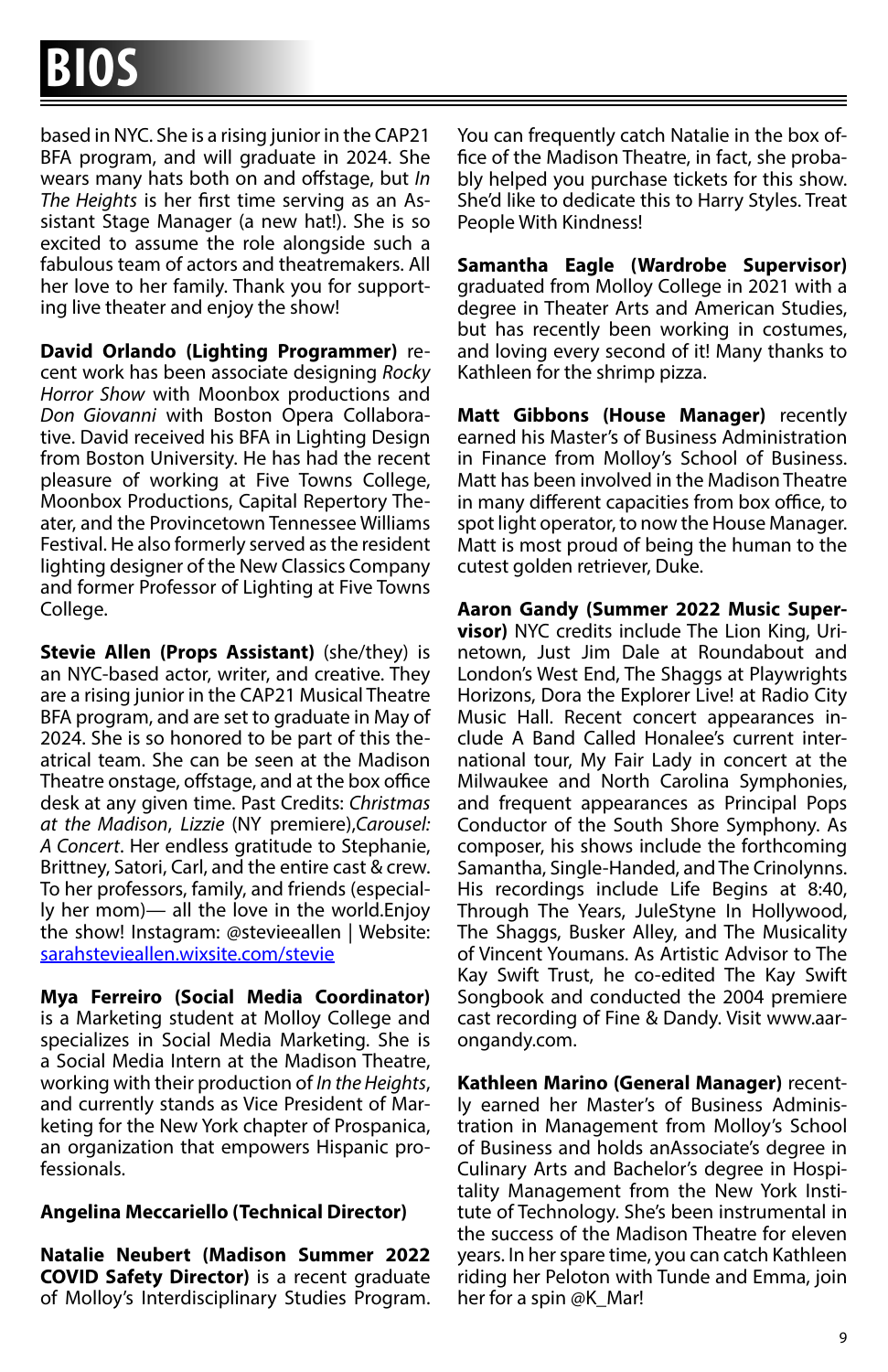based in NYC. She is a rising junior in the CAP21 BFA program, and will graduate in 2024. She wears many hats both on and offstage, but *In The Heights* is her first time serving as an Assistant Stage Manager (a new hat!). She is so excited to assume the role alongside such a fabulous team of actors and theatremakers. All her love to her family. Thank you for supporting live theater and enjoy the show!

**David Orlando (Lighting Programmer)** recent work has been associate designing *Rocky Horror Show* with Moonbox productions and *Don Giovanni* with Boston Opera Collaborative. David received his BFA in Lighting Design from Boston University. He has had the recent pleasure of working at Five Towns College, Moonbox Productions, Capital Repertory Theater, and the Provincetown Tennessee Williams Festival. He also formerly served as the resident lighting designer of the New Classics Company and former Professor of Lighting at Five Towns College.

**Stevie Allen (Props Assistant)** (she/they) is an NYC-based actor, writer, and creative. They are a rising junior in the CAP21 Musical Theatre BFA program, and are set to graduate in May of 2024. She is so honored to be part of this theatrical team. She can be seen at the Madison Theatre onstage, offstage, and at the box office desk at any given time. Past Credits: *Christmas at the Madison*, *Lizzie* (NY premiere),*Carousel: A Concert*. Her endless gratitude to Stephanie, Brittney, Satori, Carl, and the entire cast & crew. To her professors, family, and friends (especially her mom)— all the love in the world.Enjoy the show! Instagram: @stevieeallen | Website: sarahstevieallen.wixsite.com/stevie

**Mya Ferreiro (Social Media Coordinator)**  is a Marketing student at Molloy College and specializes in Social Media Marketing. She is a Social Media Intern at the Madison Theatre, working with their production of *In the Heights*, and currently stands as Vice President of Marketing for the New York chapter of Prospanica, an organization that empowers Hispanic professionals.

#### **Angelina Meccariello (Technical Director)**

**Natalie Neubert (Madison Summer 2022 COVID Safety Director)** is a recent graduate of Molloy's Interdisciplinary Studies Program. You can frequently catch Natalie in the box office of the Madison Theatre, in fact, she probably helped you purchase tickets for this show. She'd like to dedicate this to Harry Styles. Treat People With Kindness!

**Samantha Eagle (Wardrobe Supervisor)**  graduated from Molloy College in 2021 with a degree in Theater Arts and American Studies, but has recently been working in costumes, and loving every second of it! Many thanks to Kathleen for the shrimp pizza.

**Matt Gibbons (House Manager)** recently earned his Master's of Business Administration in Finance from Molloy's School of Business. Matt has been involved in the Madison Theatre in many different capacities from box office, to spot light operator, to now the House Manager. Matt is most proud of being the human to the cutest golden retriever, Duke.

**Aaron Gandy (Summer 2022 Music Supervisor)** NYC credits include The Lion King, Urinetown, Just Jim Dale at Roundabout and London's West End, The Shaggs at Playwrights Horizons, Dora the Explorer Live! at Radio City Music Hall. Recent concert appearances include A Band Called Honalee's current international tour, My Fair Lady in concert at the Milwaukee and North Carolina Symphonies, and frequent appearances as Principal Pops Conductor of the South Shore Symphony. As composer, his shows include the forthcoming Samantha, Single-Handed, and The Crinolynns. His recordings include Life Begins at 8:40, Through The Years, JuleStyne In Hollywood, The Shaggs, Busker Alley, and The Musicality of Vincent Youmans. As Artistic Advisor to The Kay Swift Trust, he co-edited The Kay Swift Songbook and conducted the 2004 premiere cast recording of Fine & Dandy. Visit www.aarongandy.com.

**Kathleen Marino (General Manager)** recently earned her Master's of Business Administration in Management from Molloy's School of Business and holds anAssociate's degree in Culinary Arts and Bachelor's degree in Hospitality Management from the New York Institute of Technology. She's been instrumental in the success of the Madison Theatre for eleven years. In her spare time, you can catch Kathleen riding her Peloton with Tunde and Emma, join her for a spin @K\_Mar!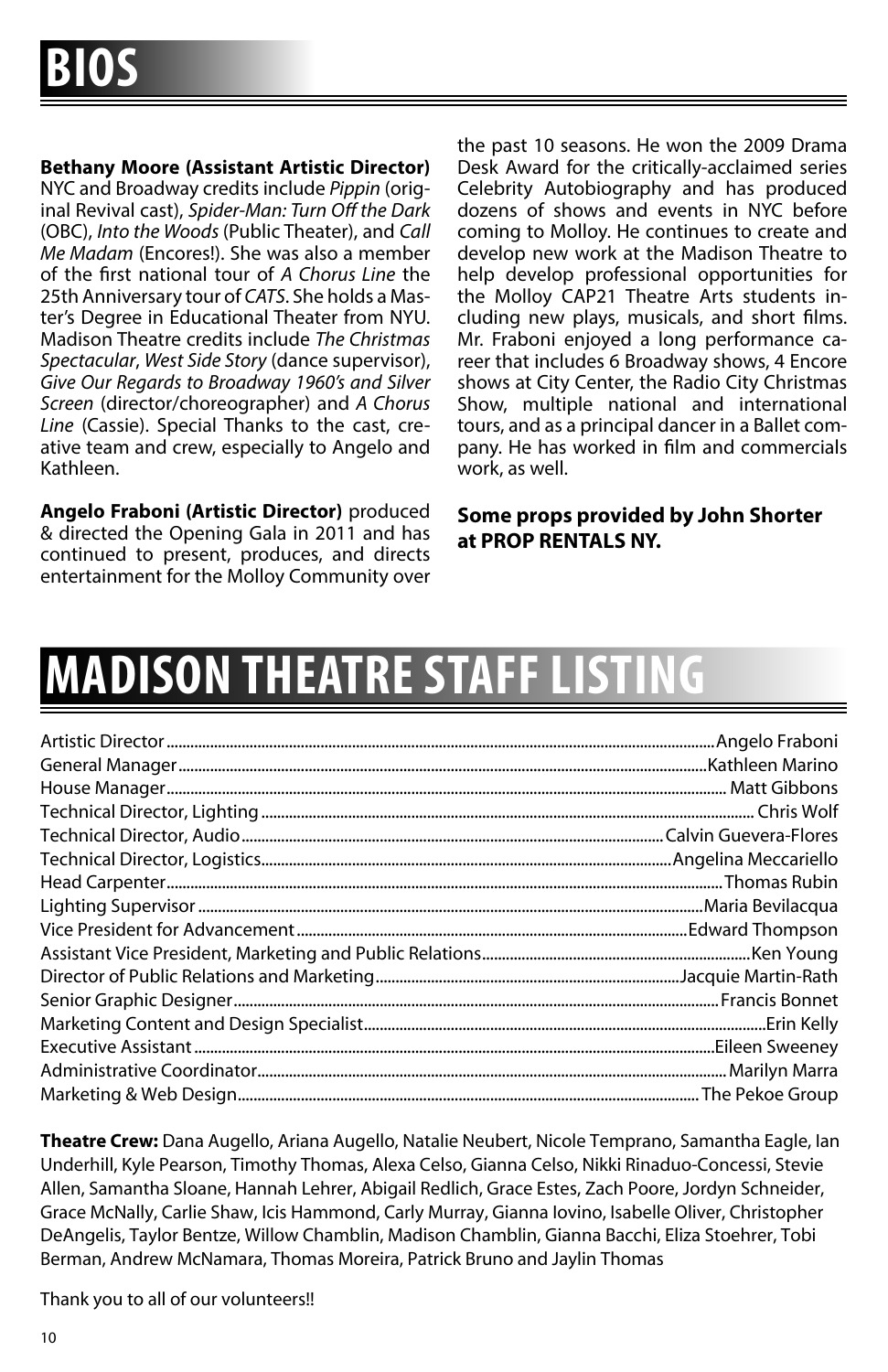**Bethany Moore (Assistant Artistic Director)**

NYC and Broadway credits include *Pippin* (original Revival cast), *Spider-Man: Turn Off the Dark* (OBC), *Into the Woods* (Public Theater), and *Call Me Madam* (Encores!). She was also a member of the first national tour of *A Chorus Line* the 25th Anniversary tour of *CATS*. She holds a Master's Degree in Educational Theater from NYU. Madison Theatre credits include *The Christmas Spectacular*, *West Side Story* (dance supervisor), *Give Our Regards to Broadway 1960's and Silver Screen* (director/choreographer) and *A Chorus Line* (Cassie). Special Thanks to the cast, creative team and crew, especially to Angelo and Kathleen.

**Angelo Fraboni (Artistic Director)** produced & directed the Opening Gala in 2011 and has continued to present, produces, and directs entertainment for the Molloy Community over the past 10 seasons. He won the 2009 Drama Desk Award for the critically-acclaimed series Celebrity Autobiography and has produced dozens of shows and events in NYC before coming to Molloy. He continues to create and develop new work at the Madison Theatre to help develop professional opportunities for the Molloy CAP21 Theatre Arts students including new plays, musicals, and short films. Mr. Fraboni enjoyed a long performance career that includes 6 Broadway shows, 4 Encore shows at City Center, the Radio City Christmas Show, multiple national and international tours, and as a principal dancer in a Ballet company. He has worked in film and commercials work, as well.

**Some props provided by John Shorter at PROP RENTALS NY.**

# **MADISON THEATRE STAFF**

**Theatre Crew:** Dana Augello, Ariana Augello, Natalie Neubert, Nicole Temprano, Samantha Eagle, Ian Underhill, Kyle Pearson, Timothy Thomas, Alexa Celso, Gianna Celso, Nikki Rinaduo-Concessi, Stevie Allen, Samantha Sloane, Hannah Lehrer, Abigail Redlich, Grace Estes, Zach Poore, Jordyn Schneider, Grace McNally, Carlie Shaw, Icis Hammond, Carly Murray, Gianna Iovino, Isabelle Oliver, Christopher DeAngelis, Taylor Bentze, Willow Chamblin, Madison Chamblin, Gianna Bacchi, Eliza Stoehrer, Tobi Berman, Andrew McNamara, Thomas Moreira, Patrick Bruno and Jaylin Thomas

Thank you to all of our volunteers!!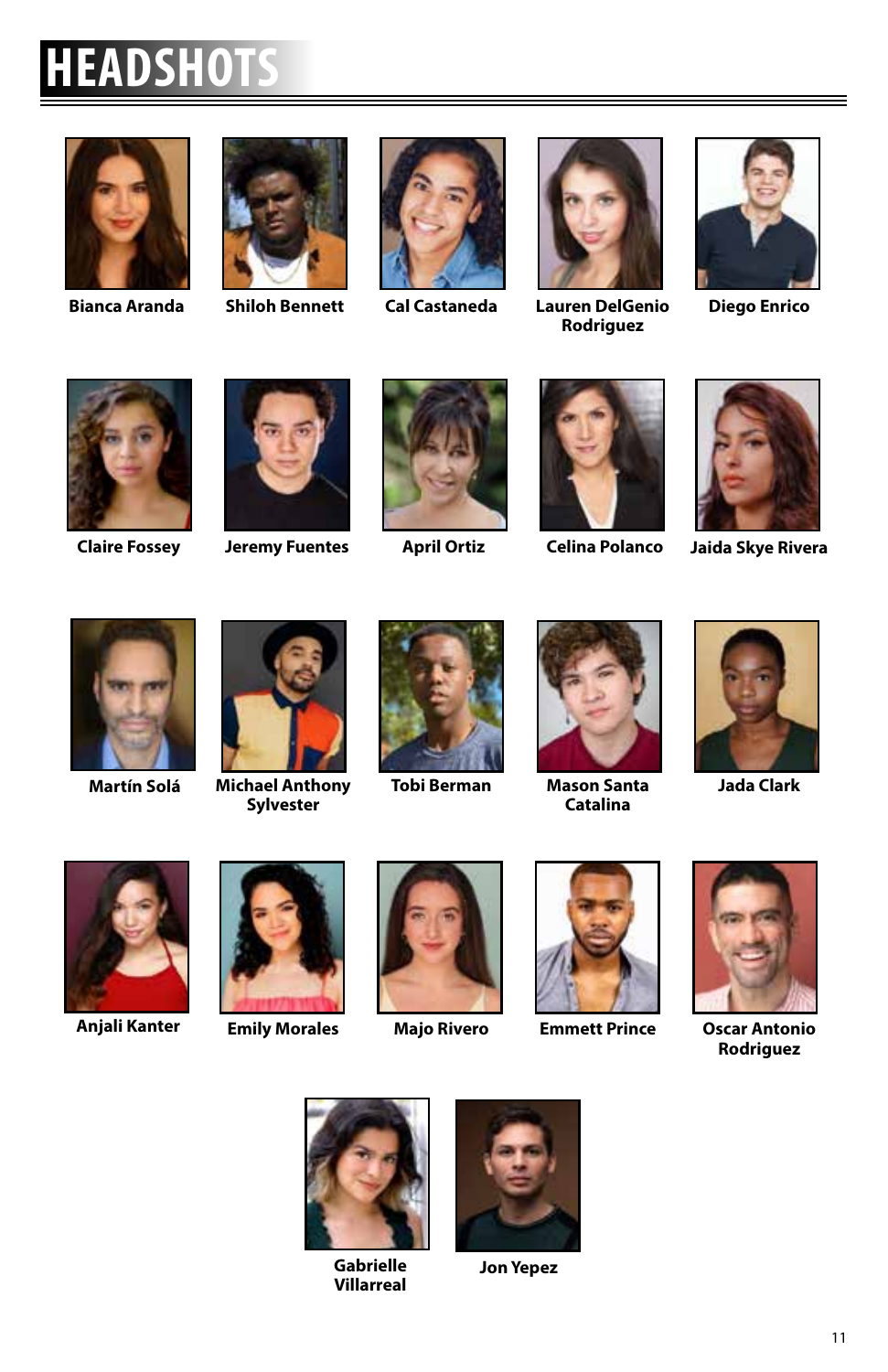### **HEADSHOTS**









**Bianca Aranda Shiloh Bennett Cal Castaneda Lauren DelGenio Rodriguez**



**Diego Enrico**









**Claire Fossey Jeremy Fuentes April Ortiz Celina Polanco**



**Jaida Skye Rivera**





**Martín Solá Michael Anthony Sylvester**





**Tobi Berman Mason Santa Catalina**



**Jada Clark**











**Anjali Kanter Emily Morales Majo Rivero Emmett Prince Oscar Antonio Rodriguez**



**Gabrielle Villarreal**



**Jon Yepez**